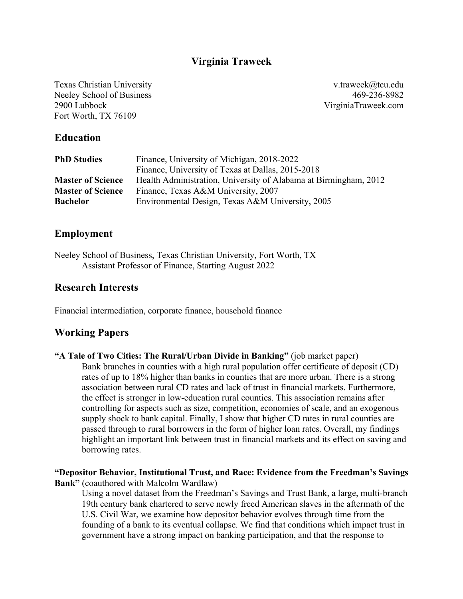## **Virginia Traweek**

Texas Christian University Neeley School of Business 2900 Lubbock Fort Worth, TX 76109

v.traweek@tcu.edu 469-236-8982 VirginiaTraweek.com

#### **Education**

| <b>PhD Studies</b>       | Finance, University of Michigan, 2018-2022                       |
|--------------------------|------------------------------------------------------------------|
|                          | Finance, University of Texas at Dallas, 2015-2018                |
| <b>Master of Science</b> | Health Administration, University of Alabama at Birmingham, 2012 |
| <b>Master of Science</b> | Finance, Texas A&M University, 2007                              |
| <b>Bachelor</b>          | Environmental Design, Texas A&M University, 2005                 |

#### **Employment**

Neeley School of Business, Texas Christian University, Fort Worth, TX Assistant Professor of Finance, Starting August 2022

#### **Research Interests**

Financial intermediation, corporate finance, household finance

## **Working Papers**

**"A Tale of Two Cities: The Rural/Urban Divide in Banking"** (job market paper) Bank branches in counties with a high rural population offer certificate of deposit (CD) rates of up to 18% higher than banks in counties that are more urban. There is a strong association between rural CD rates and lack of trust in financial markets. Furthermore, the effect is stronger in low-education rural counties. This association remains after controlling for aspects such as size, competition, economies of scale, and an exogenous supply shock to bank capital. Finally, I show that higher CD rates in rural counties are passed through to rural borrowers in the form of higher loan rates. Overall, my findings highlight an important link between trust in financial markets and its effect on saving and borrowing rates.

#### **"Depositor Behavior, Institutional Trust, and Race: Evidence from the Freedman's Savings Bank"** (coauthored with Malcolm Wardlaw)

Using a novel dataset from the Freedman's Savings and Trust Bank, a large, multi-branch 19th century bank chartered to serve newly freed American slaves in the aftermath of the U.S. Civil War, we examine how depositor behavior evolves through time from the founding of a bank to its eventual collapse. We find that conditions which impact trust in government have a strong impact on banking participation, and that the response to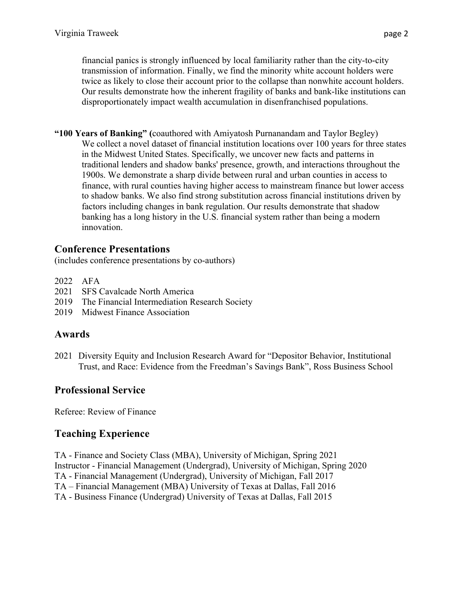financial panics is strongly influenced by local familiarity rather than the city-to-city transmission of information. Finally, we find the minority white account holders were twice as likely to close their account prior to the collapse than nonwhite account holders. Our results demonstrate how the inherent fragility of banks and bank-like institutions can disproportionately impact wealth accumulation in disenfranchised populations.

**"100 Years of Banking" (**coauthored with Amiyatosh Purnanandam and Taylor Begley) We collect a novel dataset of financial institution locations over 100 years for three states in the Midwest United States. Specifically, we uncover new facts and patterns in traditional lenders and shadow banks' presence, growth, and interactions throughout the 1900s. We demonstrate a sharp divide between rural and urban counties in access to finance, with rural counties having higher access to mainstream finance but lower access to shadow banks. We also find strong substitution across financial institutions driven by factors including changes in bank regulation. Our results demonstrate that shadow banking has a long history in the U.S. financial system rather than being a modern innovation.

## **Conference Presentations**

(includes conference presentations by co-authors)

- 2022 AFA
- 2021 SFS Cavalcade North America
- 2019 The Financial Intermediation Research Society
- 2019 Midwest Finance Association

# **Awards**

2021 Diversity Equity and Inclusion Research Award for "Depositor Behavior, Institutional Trust, and Race: Evidence from the Freedman's Savings Bank", Ross Business School

# **Professional Service**

Referee: Review of Finance

# **Teaching Experience**

TA - Finance and Society Class (MBA), University of Michigan, Spring 2021 Instructor - Financial Management (Undergrad), University of Michigan, Spring 2020 TA - Financial Management (Undergrad), University of Michigan, Fall 2017 TA – Financial Management (MBA) University of Texas at Dallas, Fall 2016 TA - Business Finance (Undergrad) University of Texas at Dallas, Fall 2015